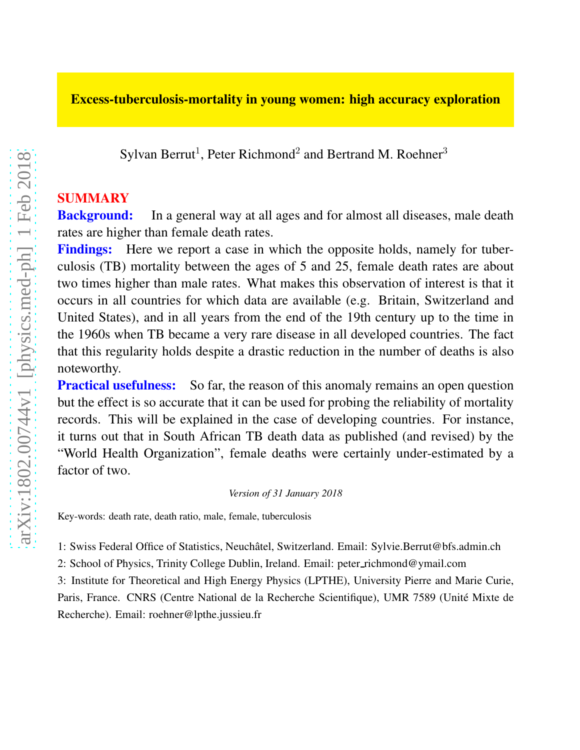### Excess-tuberculosis-mortality in young women: high accuracy exploration

Sylvan Berrut<sup>1</sup>, Peter Richmond<sup>2</sup> and Bertrand M. Roehner<sup>3</sup>

#### SUMMARY

**Background:** In a general way at all ages and for almost all diseases, male death rates are higher than female death rates.

Findings: Here we report a case in which the opposite holds, namely for tuberculosis (TB) mortality between the ages of 5 and 25, female death rates are about two times higher than male rates. What makes this observation of interest is that it occurs in all countries for which data are available (e.g. Britain, Switzerland and United States), and in all years from the end of the 19th century up to the time in the 1960s when TB became a very rare disease in all developed countries. The fact that this regularity holds despite a drastic reduction in the number of deaths is also noteworthy.

**Practical usefulness:** So far, the reason of this anomaly remains an open question but the effect is so accurate that it can be used for probing the reliability of mortality records. This will be explained in the case of developing countries. For instance, it turns out that in South African TB death data as published (and revised) by the "World Health Organization", female deaths were certainly under-estimated by a factor of two.

#### *Version of 31 January 2018*

Key-words: death rate, death ratio, male, female, tuberculosis

1: Swiss Federal Office of Statistics, Neuchâtel, Switzerland. Email: Sylvie.Berrut@bfs.admin.ch

2: School of Physics, Trinity College Dublin, Ireland. Email: peter richmond@ymail.com

3: Institute for Theoretical and High Energy Physics (LPTHE), University Pierre and Marie Curie, Paris, France. CNRS (Centre National de la Recherche Scientifique), UMR 7589 (Unité Mixte de Recherche). Email: roehner@lpthe.jussieu.fr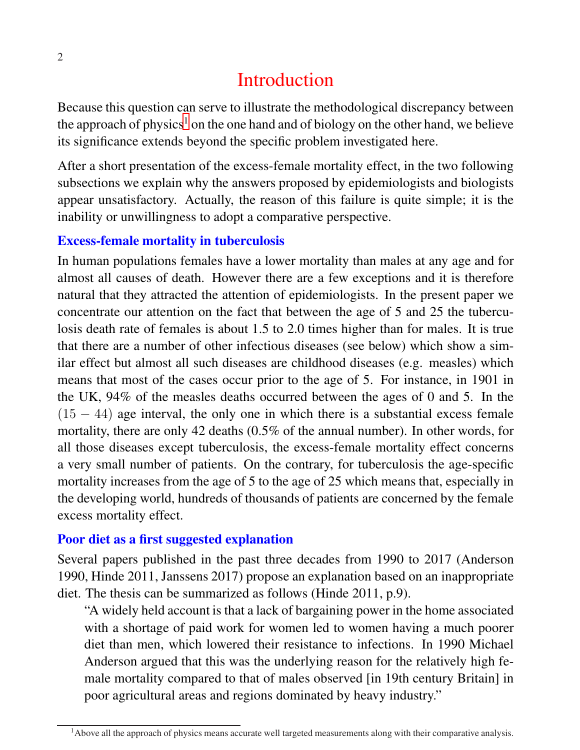# Introduction

Because this question can serve to illustrate the methodological discrepancy between the approach of physics<sup>[1](#page-1-0)</sup> on the one hand and of biology on the other hand, we believe its significance extends beyond the specific problem investigated here.

After a short presentation of the excess-female mortality effect, in the two following subsections we explain why the answers proposed by epidemiologists and biologists appear unsatisfactory. Actually, the reason of this failure is quite simple; it is the inability or unwillingness to adopt a comparative perspective.

### Excess-female mortality in tuberculosis

In human populations females have a lower mortality than males at any age and for almost all causes of death. However there are a few exceptions and it is therefore natural that they attracted the attention of epidemiologists. In the present paper we concentrate our attention on the fact that between the age of 5 and 25 the tuberculosis death rate of females is about 1.5 to 2.0 times higher than for males. It is true that there are a number of other infectious diseases (see below) which show a similar effect but almost all such diseases are childhood diseases (e.g. measles) which means that most of the cases occur prior to the age of 5. For instance, in 1901 in the UK, 94% of the measles deaths occurred between the ages of 0 and 5. In the  $(15 - 44)$  age interval, the only one in which there is a substantial excess female mortality, there are only 42 deaths (0.5% of the annual number). In other words, for all those diseases except tuberculosis, the excess-female mortality effect concerns a very small number of patients. On the contrary, for tuberculosis the age-specific mortality increases from the age of 5 to the age of 25 which means that, especially in the developing world, hundreds of thousands of patients are concerned by the female excess mortality effect.

### Poor diet as a first suggested explanation

Several papers published in the past three decades from 1990 to 2017 (Anderson 1990, Hinde 2011, Janssens 2017) propose an explanation based on an inappropriate diet. The thesis can be summarized as follows (Hinde 2011, p.9).

"A widely held account is that a lack of bargaining power in the home associated with a shortage of paid work for women led to women having a much poorer diet than men, which lowered their resistance to infections. In 1990 Michael Anderson argued that this was the underlying reason for the relatively high female mortality compared to that of males observed [in 19th century Britain] in poor agricultural areas and regions dominated by heavy industry."

<span id="page-1-0"></span><sup>&</sup>lt;sup>1</sup>Above all the approach of physics means accurate well targeted measurements along with their comparative analysis.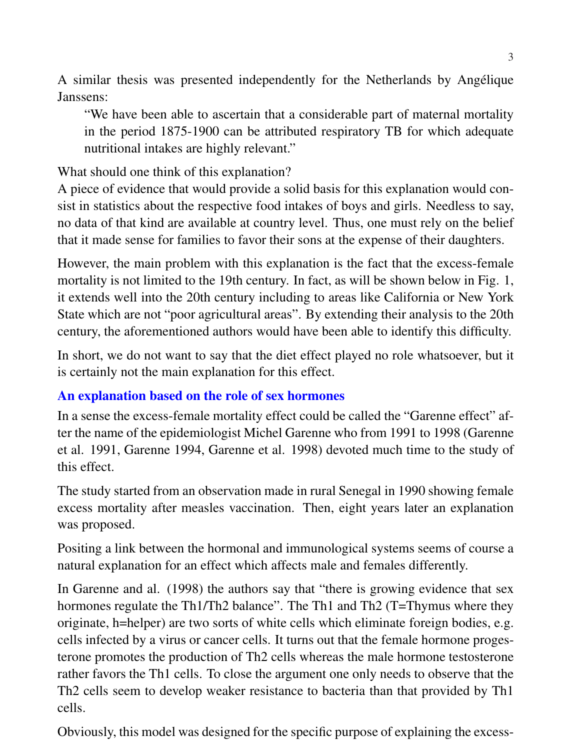A similar thesis was presented independently for the Netherlands by Angelique ´ Janssens:

"We have been able to ascertain that a considerable part of maternal mortality in the period 1875-1900 can be attributed respiratory TB for which adequate nutritional intakes are highly relevant."

What should one think of this explanation?

A piece of evidence that would provide a solid basis for this explanation would consist in statistics about the respective food intakes of boys and girls. Needless to say, no data of that kind are available at country level. Thus, one must rely on the belief that it made sense for families to favor their sons at the expense of their daughters.

However, the main problem with this explanation is the fact that the excess-female mortality is not limited to the 19th century. In fact, as will be shown below in Fig. 1, it extends well into the 20th century including to areas like California or New York State which are not "poor agricultural areas". By extending their analysis to the 20th century, the aforementioned authors would have been able to identify this difficulty.

In short, we do not want to say that the diet effect played no role whatsoever, but it is certainly not the main explanation for this effect.

## An explanation based on the role of sex hormones

In a sense the excess-female mortality effect could be called the "Garenne effect" after the name of the epidemiologist Michel Garenne who from 1991 to 1998 (Garenne et al. 1991, Garenne 1994, Garenne et al. 1998) devoted much time to the study of this effect.

The study started from an observation made in rural Senegal in 1990 showing female excess mortality after measles vaccination. Then, eight years later an explanation was proposed.

Positing a link between the hormonal and immunological systems seems of course a natural explanation for an effect which affects male and females differently.

In Garenne and al. (1998) the authors say that "there is growing evidence that sex hormones regulate the Th1/Th2 balance". The Th1 and Th2 (T=Thymus where they originate, h=helper) are two sorts of white cells which eliminate foreign bodies, e.g. cells infected by a virus or cancer cells. It turns out that the female hormone progesterone promotes the production of Th2 cells whereas the male hormone testosterone rather favors the Th1 cells. To close the argument one only needs to observe that the Th2 cells seem to develop weaker resistance to bacteria than that provided by Th1 cells.

Obviously, this model was designed for the specific purpose of explaining the excess-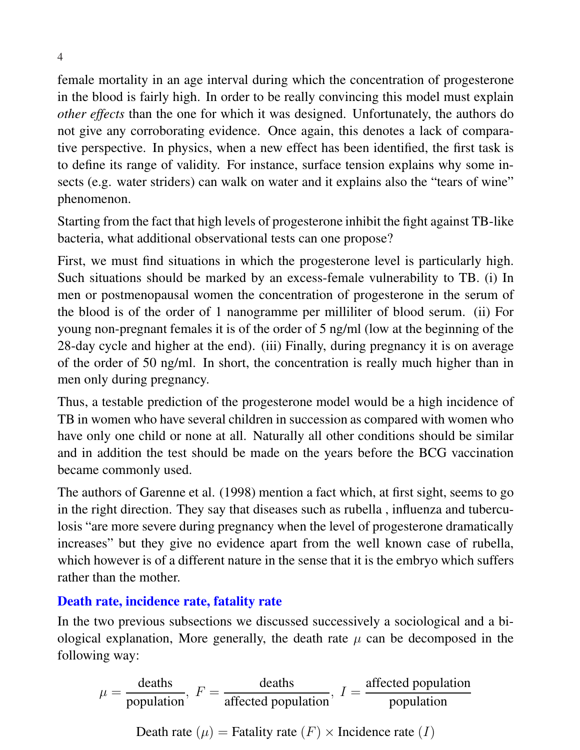female mortality in an age interval during which the concentration of progesterone in the blood is fairly high. In order to be really convincing this model must explain *other effects* than the one for which it was designed. Unfortunately, the authors do not give any corroborating evidence. Once again, this denotes a lack of comparative perspective. In physics, when a new effect has been identified, the first task is to define its range of validity. For instance, surface tension explains why some insects (e.g. water striders) can walk on water and it explains also the "tears of wine" phenomenon.

Starting from the fact that high levels of progesterone inhibit the fight against TB-like bacteria, what additional observational tests can one propose?

First, we must find situations in which the progesterone level is particularly high. Such situations should be marked by an excess-female vulnerability to TB. (i) In men or postmenopausal women the concentration of progesterone in the serum of the blood is of the order of 1 nanogramme per milliliter of blood serum. (ii) For young non-pregnant females it is of the order of 5 ng/ml (low at the beginning of the 28-day cycle and higher at the end). (iii) Finally, during pregnancy it is on average of the order of 50 ng/ml. In short, the concentration is really much higher than in men only during pregnancy.

Thus, a testable prediction of the progesterone model would be a high incidence of TB in women who have several children in succession as compared with women who have only one child or none at all. Naturally all other conditions should be similar and in addition the test should be made on the years before the BCG vaccination became commonly used.

The authors of Garenne et al. (1998) mention a fact which, at first sight, seems to go in the right direction. They say that diseases such as rubella , influenza and tuberculosis "are more severe during pregnancy when the level of progesterone dramatically increases" but they give no evidence apart from the well known case of rubella, which however is of a different nature in the sense that it is the embryo which suffers rather than the mother.

### Death rate, incidence rate, fatality rate

In the two previous subsections we discussed successively a sociological and a biological explanation, More generally, the death rate  $\mu$  can be decomposed in the following way:

$$
\mu = \frac{\text{deaths}}{\text{population}}, \ F = \frac{\text{deaths}}{\text{affected population}}, \ I = \frac{\text{affected population}}{\text{population}}
$$
  
Death rate ( $\mu$ ) = Fatality rate ( $F$ ) × Incidence rate ( $I$ )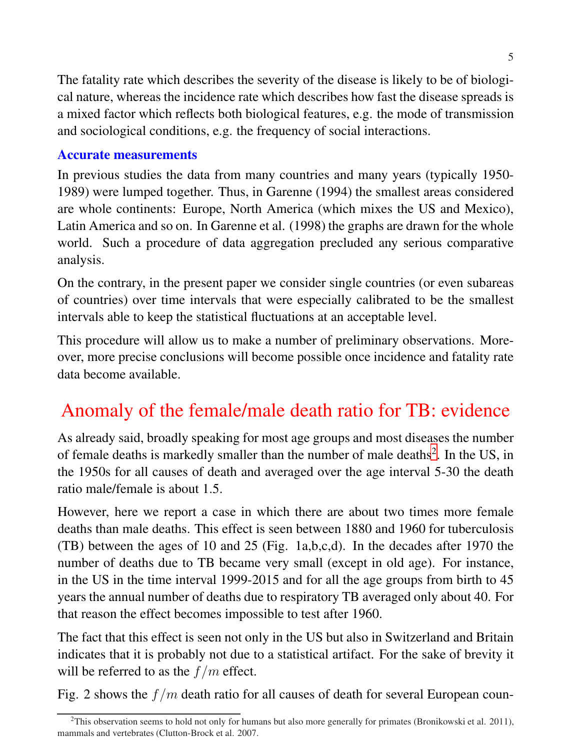The fatality rate which describes the severity of the disease is likely to be of biological nature, whereas the incidence rate which describes how fast the disease spreads is a mixed factor which reflects both biological features, e.g. the mode of transmission and sociological conditions, e.g. the frequency of social interactions.

### Accurate measurements

In previous studies the data from many countries and many years (typically 1950- 1989) were lumped together. Thus, in Garenne (1994) the smallest areas considered are whole continents: Europe, North America (which mixes the US and Mexico), Latin America and so on. In Garenne et al. (1998) the graphs are drawn for the whole world. Such a procedure of data aggregation precluded any serious comparative analysis.

On the contrary, in the present paper we consider single countries (or even subareas of countries) over time intervals that were especially calibrated to be the smallest intervals able to keep the statistical fluctuations at an acceptable level.

This procedure will allow us to make a number of preliminary observations. Moreover, more precise conclusions will become possible once incidence and fatality rate data become available.

# Anomaly of the female/male death ratio for TB: evidence

As already said, broadly speaking for most age groups and most diseases the number of female deaths is markedly smaller than the number of male deaths<sup>[2](#page-4-0)</sup>. In the US, in the 1950s for all causes of death and averaged over the age interval 5-30 the death ratio male/female is about 1.5.

However, here we report a case in which there are about two times more female deaths than male deaths. This effect is seen between 1880 and 1960 for tuberculosis (TB) between the ages of 10 and 25 (Fig. 1a,b,c,d). In the decades after 1970 the number of deaths due to TB became very small (except in old age). For instance, in the US in the time interval 1999-2015 and for all the age groups from birth to 45 years the annual number of deaths due to respiratory TB averaged only about 40. For that reason the effect becomes impossible to test after 1960.

The fact that this effect is seen not only in the US but also in Switzerland and Britain indicates that it is probably not due to a statistical artifact. For the sake of brevity it will be referred to as the  $f/m$  effect.

Fig. 2 shows the  $f/m$  death ratio for all causes of death for several European coun-

<span id="page-4-0"></span> $2$ This observation seems to hold not only for humans but also more generally for primates (Bronikowski et al. 2011), mammals and vertebrates (Clutton-Brock et al. 2007.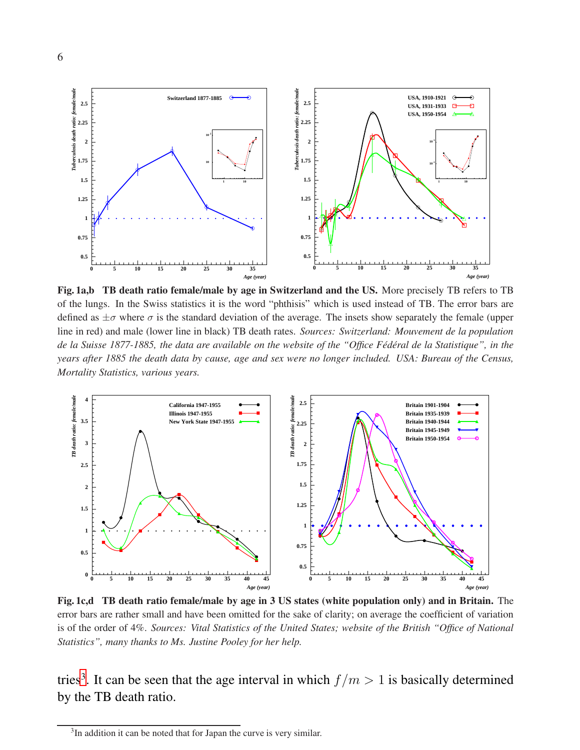

Fig. 1a,b TB death ratio female/male by age in Switzerland and the US. More precisely TB refers to TB of the lungs. In the Swiss statistics it is the word "phthisis" which is used instead of TB. The error bars are defined as  $\pm\sigma$  where  $\sigma$  is the standard deviation of the average. The insets show separately the female (upper line in red) and male (lower line in black) TB death rates. *Sources: Switzerland: Mouvement de la population de la Suisse 1877-1885, the data are available on the website of the "Office Fédéral de la Statistique", in the years after 1885 the death data by cause, age and sex were no longer included. USA: Bureau of the Census, Mortality Statistics, various years.*



Fig. 1c,d TB death ratio female/male by age in 3 US states (white population only) and in Britain. The error bars are rather small and have been omitted for the sake of clarity; on average the coefficient of variation is of the order of 4%. *Sources: Vital Statistics of the United States; website of the British "Office of National Statistics", many thanks to Ms. Justine Pooley for her help.*

tries<sup>[3](#page-5-0)</sup>. It can be seen that the age interval in which  $f/m > 1$  is basically determined by the TB death ratio.

<span id="page-5-0"></span><sup>&</sup>lt;sup>3</sup>In addition it can be noted that for Japan the curve is very similar.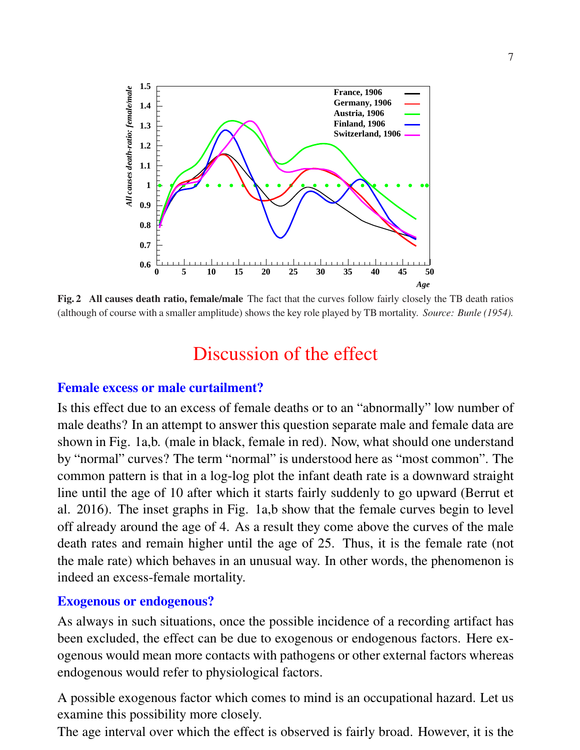

Fig. 2 All causes death ratio, female/male The fact that the curves follow fairly closely the TB death ratios (although of course with a smaller amplitude) shows the key role played by TB mortality. *Source: Bunle (1954).*

## Discussion of the effect

#### Female excess or male curtailment?

Is this effect due to an excess of female deaths or to an "abnormally" low number of male deaths? In an attempt to answer this question separate male and female data are shown in Fig. 1a,b. (male in black, female in red). Now, what should one understand by "normal" curves? The term "normal" is understood here as "most common". The common pattern is that in a log-log plot the infant death rate is a downward straight line until the age of 10 after which it starts fairly suddenly to go upward (Berrut et al. 2016). The inset graphs in Fig. 1a,b show that the female curves begin to level off already around the age of 4. As a result they come above the curves of the male death rates and remain higher until the age of 25. Thus, it is the female rate (not the male rate) which behaves in an unusual way. In other words, the phenomenon is indeed an excess-female mortality.

#### Exogenous or endogenous?

As always in such situations, once the possible incidence of a recording artifact has been excluded, the effect can be due to exogenous or endogenous factors. Here exogenous would mean more contacts with pathogens or other external factors whereas endogenous would refer to physiological factors.

A possible exogenous factor which comes to mind is an occupational hazard. Let us examine this possibility more closely.

The age interval over which the effect is observed is fairly broad. However, it is the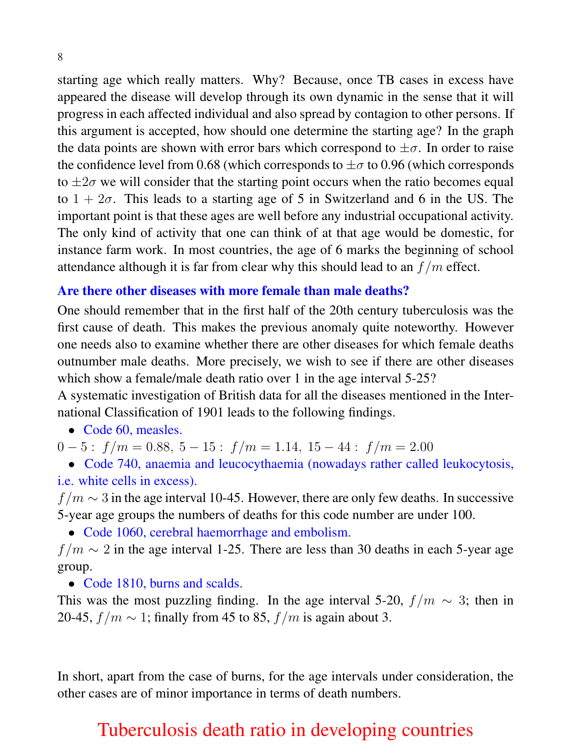starting age which really matters. Why? Because, once TB cases in excess have appeared the disease will develop through its own dynamic in the sense that it will progress in each affected individual and also spread by contagion to other persons. If this argument is accepted, how should one determine the starting age? In the graph the data points are shown with error bars which correspond to  $\pm \sigma$ . In order to raise the confidence level from 0.68 (which corresponds to  $\pm\sigma$  to 0.96 (which corresponds to  $\pm 2\sigma$  we will consider that the starting point occurs when the ratio becomes equal to  $1 + 2\sigma$ . This leads to a starting age of 5 in Switzerland and 6 in the US. The important point is that these ages are well before any industrial occupational activity. The only kind of activity that one can think of at that age would be domestic, for instance farm work. In most countries, the age of 6 marks the beginning of school attendance although it is far from clear why this should lead to an  $f/m$  effect.

### Are there other diseases with more female than male deaths?

One should remember that in the first half of the 20th century tuberculosis was the first cause of death. This makes the previous anomaly quite noteworthy. However one needs also to examine whether there are other diseases for which female deaths outnumber male deaths. More precisely, we wish to see if there are other diseases which show a female/male death ratio over 1 in the age interval 5-25?

A systematic investigation of British data for all the diseases mentioned in the International Classification of 1901 leads to the following findings.

• Code 60, measles.

 $0 - 5$ :  $f/m = 0.88$ ,  $5 - 15$ :  $f/m = 1.14$ ,  $15 - 44$ :  $f/m = 2.00$ 

• Code 740, anaemia and leucocythaemia (nowadays rather called leukocytosis, i.e. white cells in excess).

 $f/m \sim 3$  in the age interval 10-45. However, there are only few deaths. In successive 5-year age groups the numbers of deaths for this code number are under 100.

• Code 1060, cerebral haemorrhage and embolism.

 $f/m \sim 2$  in the age interval 1-25. There are less than 30 deaths in each 5-year age group.

• Code 1810, burns and scalds.

This was the most puzzling finding. In the age interval 5-20,  $f/m \sim 3$ ; then in 20-45,  $f/m \sim 1$ ; finally from 45 to 85,  $f/m$  is again about 3.

In short, apart from the case of burns, for the age intervals under consideration, the other cases are of minor importance in terms of death numbers.

# Tuberculosis death ratio in developing countries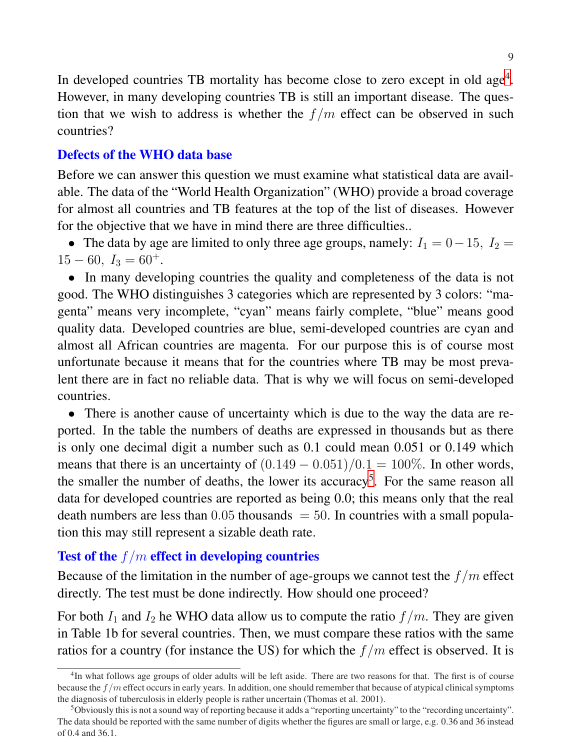In developed countries TB mortality has become close to zero except in old age<sup>[4](#page-8-0)</sup>. However, in many developing countries TB is still an important disease. The question that we wish to address is whether the  $f/m$  effect can be observed in such countries?

### Defects of the WHO data base

Before we can answer this question we must examine what statistical data are available. The data of the "World Health Organization" (WHO) provide a broad coverage for almost all countries and TB features at the top of the list of diseases. However for the objective that we have in mind there are three difficulties..

• The data by age are limited to only three age groups, namely:  $I_1 = 0 - 15$ ,  $I_2 =$  $15 - 60$ ,  $I_3 = 60^+$ .

• In many developing countries the quality and completeness of the data is not good. The WHO distinguishes 3 categories which are represented by 3 colors: "magenta" means very incomplete, "cyan" means fairly complete, "blue" means good quality data. Developed countries are blue, semi-developed countries are cyan and almost all African countries are magenta. For our purpose this is of course most unfortunate because it means that for the countries where TB may be most prevalent there are in fact no reliable data. That is why we will focus on semi-developed countries.

• There is another cause of uncertainty which is due to the way the data are reported. In the table the numbers of deaths are expressed in thousands but as there is only one decimal digit a number such as 0.1 could mean 0.051 or 0.149 which means that there is an uncertainty of  $(0.149 - 0.051)/0.1 = 100\%$ . In other words, the smaller the number of deaths, the lower its accuracy<sup>[5](#page-8-1)</sup>. For the same reason all data for developed countries are reported as being 0.0; this means only that the real death numbers are less than  $0.05$  thousands  $= 50$ . In countries with a small population this may still represent a sizable death rate.

### Test of the  $f/m$  effect in developing countries

Because of the limitation in the number of age-groups we cannot test the  $f/m$  effect directly. The test must be done indirectly. How should one proceed?

For both  $I_1$  and  $I_2$  he WHO data allow us to compute the ratio  $f/m$ . They are given in Table 1b for several countries. Then, we must compare these ratios with the same ratios for a country (for instance the US) for which the  $f/m$  effect is observed. It is

<span id="page-8-0"></span><sup>&</sup>lt;sup>4</sup>In what follows age groups of older adults will be left aside. There are two reasons for that. The first is of course because the  $f/m$  effect occurs in early years. In addition, one should remember that because of atypical clinical symptoms the diagnosis of tuberculosis in elderly people is rather uncertain (Thomas et al. 2001).

<span id="page-8-1"></span><sup>5</sup>Obviously this is not a sound way of reporting because it adds a "reporting uncertainty" to the "recording uncertainty". The data should be reported with the same number of digits whether the figures are small or large, e.g. 0.36 and 36 instead of 0.4 and 36.1.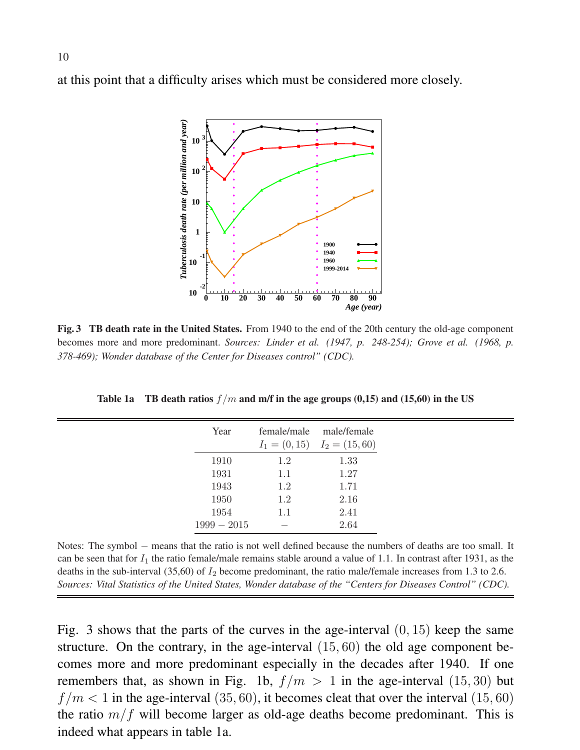at this point that a difficulty arises which must be considered more closely.



Fig. 3 TB death rate in the United States. From 1940 to the end of the 20th century the old-age component becomes more and more predominant. *Sources: Linder et al. (1947, p. 248-254); Grove et al. (1968, p. 378-469); Wonder database of the Center for Diseases control" (CDC).*

Table 1a TB death ratios  $f/m$  and m/f in the age groups (0,15) and (15,60) in the US

| Year          | female/male | male/female<br>$I_1 = (0, 15)$ $I_2 = (15, 60)$ |
|---------------|-------------|-------------------------------------------------|
| 1910          | 1.2         | 1.33                                            |
| 1931          | 1.1         | 1.27                                            |
| 1943          | 1.2         | 1.71                                            |
| 1950          | 1.2         | 2.16                                            |
| 1954          | 1.1         | 2.41                                            |
| $1999 - 2015$ |             | 2.64                                            |

Notes: The symbol − means that the ratio is not well defined because the numbers of deaths are too small. It can be seen that for  $I_1$  the ratio female/male remains stable around a value of 1.1. In contrast after 1931, as the deaths in the sub-interval  $(35,60)$  of  $I_2$  become predominant, the ratio male/female increases from 1.3 to 2.6. *Sources: Vital Statistics of the United States, Wonder database of the "Centers for Diseases Control" (CDC).*

Fig. 3 shows that the parts of the curves in the age-interval  $(0, 15)$  keep the same structure. On the contrary, in the age-interval (15, 60) the old age component becomes more and more predominant especially in the decades after 1940. If one remembers that, as shown in Fig. 1b,  $f/m > 1$  in the age-interval (15, 30) but  $f/m < 1$  in the age-interval (35, 60), it becomes cleat that over the interval (15, 60) the ratio  $m/f$  will become larger as old-age deaths become predominant. This is indeed what appears in table 1a.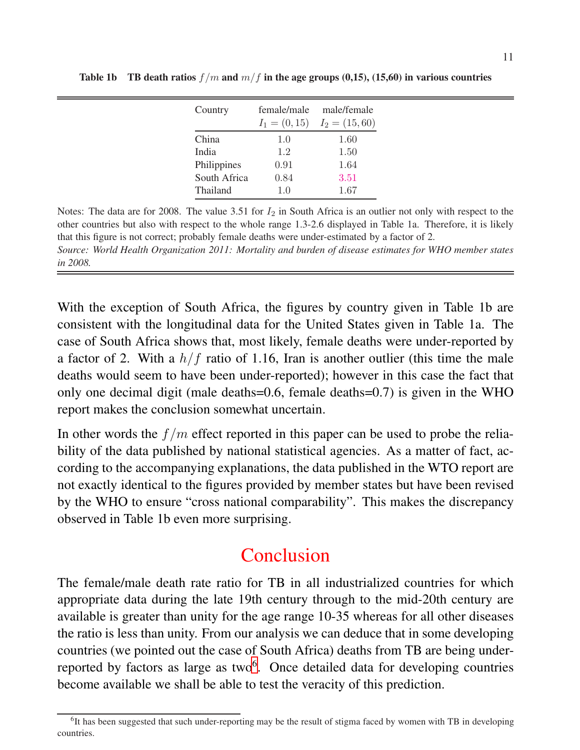| Country      | female/male     | male/female     |
|--------------|-----------------|-----------------|
|              | $I_1 = (0, 15)$ | $I_2 = (15,60)$ |
| China        | 1.0             | 1.60            |
| India        | 1.2             | 1.50            |
| Philippines  | 0.91            | 1.64            |
| South Africa | 0.84            | 3.51            |
| Thailand     | 1.0             | 1.67            |

Table 1b TB death ratios  $f/m$  and  $m/f$  in the age groups (0,15), (15,60) in various countries

Notes: The data are for 2008. The value 3.51 for  $I_2$  in South Africa is an outlier not only with respect to the other countries but also with respect to the whole range 1.3-2.6 displayed in Table 1a. Therefore, it is likely that this figure is not correct; probably female deaths were under-estimated by a factor of 2. *Source: World Health Organization 2011: Mortality and burden of disease estimates for WHO member states in 2008.*

With the exception of South Africa, the figures by country given in Table 1b are consistent with the longitudinal data for the United States given in Table 1a. The case of South Africa shows that, most likely, female deaths were under-reported by a factor of 2. With a  $h/f$  ratio of 1.16, Iran is another outlier (this time the male deaths would seem to have been under-reported); however in this case the fact that only one decimal digit (male deaths=0.6, female deaths=0.7) is given in the WHO report makes the conclusion somewhat uncertain.

In other words the  $f/m$  effect reported in this paper can be used to probe the reliability of the data published by national statistical agencies. As a matter of fact, according to the accompanying explanations, the data published in the WTO report are not exactly identical to the figures provided by member states but have been revised by the WHO to ensure "cross national comparability". This makes the discrepancy observed in Table 1b even more surprising.

# Conclusion

The female/male death rate ratio for TB in all industrialized countries for which appropriate data during the late 19th century through to the mid-20th century are available is greater than unity for the age range 10-35 whereas for all other diseases the ratio is less than unity. From our analysis we can deduce that in some developing countries (we pointed out the case of South Africa) deaths from TB are being under-reported by factors as large as two<sup>[6](#page-10-0)</sup>. Once detailed data for developing countries become available we shall be able to test the veracity of this prediction.

<span id="page-10-0"></span><sup>&</sup>lt;sup>6</sup>It has been suggested that such under-reporting may be the result of stigma faced by women with TB in developing countries.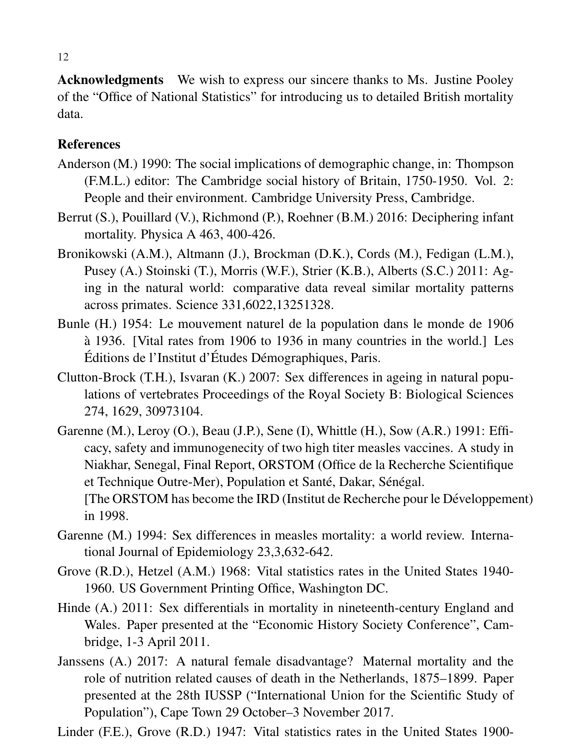Acknowledgments We wish to express our sincere thanks to Ms. Justine Pooley of the "Office of National Statistics" for introducing us to detailed British mortality data.

### References

- Anderson (M.) 1990: The social implications of demographic change, in: Thompson (F.M.L.) editor: The Cambridge social history of Britain, 1750-1950. Vol. 2: People and their environment. Cambridge University Press, Cambridge.
- Berrut (S.), Pouillard (V.), Richmond (P.), Roehner (B.M.) 2016: Deciphering infant mortality. Physica A 463, 400-426.
- Bronikowski (A.M.), Altmann (J.), Brockman (D.K.), Cords (M.), Fedigan (L.M.), Pusey (A.) Stoinski (T.), Morris (W.F.), Strier (K.B.), Alberts (S.C.) 2011: Aging in the natural world: comparative data reveal similar mortality patterns across primates. Science 331,6022,13251328.
- Bunle (H.) 1954: Le mouvement naturel de la population dans le monde de 1906 à 1936. [Vital rates from 1906 to 1936 in many countries in the world.] Les Éditions de l'Institut d'Études Démographiques, Paris.
- Clutton-Brock (T.H.), Isvaran (K.) 2007: Sex differences in ageing in natural populations of vertebrates Proceedings of the Royal Society B: Biological Sciences 274, 1629, 30973104.
- Garenne (M.), Leroy (O.), Beau (J.P.), Sene (I), Whittle (H.), Sow (A.R.) 1991: Efficacy, safety and immunogenecity of two high titer measles vaccines. A study in Niakhar, Senegal, Final Report, ORSTOM (Office de la Recherche Scientifique et Technique Outre-Mer), Population et Santé, Dakar, Sénégal. [The ORSTOM has become the IRD (Institut de Recherche pour le Développement) in 1998.
- Garenne (M.) 1994: Sex differences in measles mortality: a world review. International Journal of Epidemiology 23,3,632-642.
- Grove (R.D.), Hetzel (A.M.) 1968: Vital statistics rates in the United States 1940- 1960. US Government Printing Office, Washington DC.
- Hinde (A.) 2011: Sex differentials in mortality in nineteenth-century England and Wales. Paper presented at the "Economic History Society Conference", Cambridge, 1-3 April 2011.
- Janssens (A.) 2017: A natural female disadvantage? Maternal mortality and the role of nutrition related causes of death in the Netherlands, 1875–1899. Paper presented at the 28th IUSSP ("International Union for the Scientific Study of Population"), Cape Town 29 October–3 November 2017.
- Linder (F.E.), Grove (R.D.) 1947: Vital statistics rates in the United States 1900-